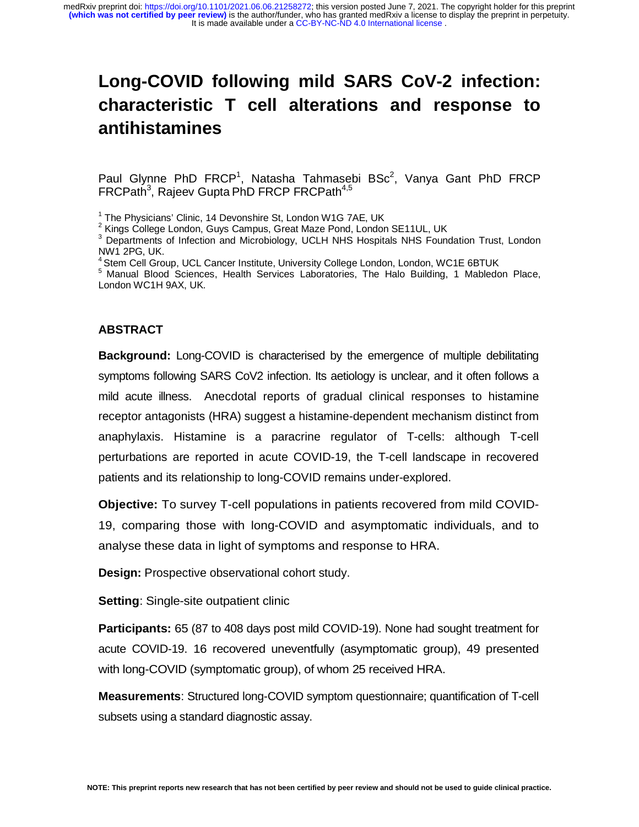### **Long-COVID following mild SARS CoV-2 infection: characteristic T cell alterations and response to antihistamines**

Paul Glynne PhD FRCP<sup>1</sup>, Natasha Tahmasebi BSc<sup>2</sup>, Vanya Gant PhD FRCP FRCPath<sup>3</sup>, Rajeev Gupta PhD FRCP FRCPath<sup>4,5</sup>

<sup>1</sup> The Physicians' Clinic, 14 Devonshire St, London W1G 7AE, UK

<sup>2</sup> Kings College London, Guys Campus, Great Maze Pond, London SE11UL, UK

<sup>3</sup> Departments of Infection and Microbiology, UCLH NHS Hospitals NHS Foundation Trust, London NW1 2PG, UK.

<sup>4</sup> Stem Cell Group, UCL Cancer Institute, University College London, London, WC1E 6BTUK

5 Manual Blood Sciences, Health Services Laboratories, The Halo Building, 1 Mabledon Place, London WC1H 9AX, UK.

#### **ABSTRACT**

**Background:** Long-COVID is characterised by the emergence of multiple debilitating symptoms following SARS CoV2 infection. Its aetiology is unclear, and it often follows a mild acute illness. Anecdotal reports of gradual clinical responses to histamine receptor antagonists (HRA) suggest a histamine-dependent mechanism distinct from anaphylaxis. Histamine is a paracrine regulator of T-cells: although T-cell perturbations are reported in acute COVID-19, the T-cell landscape in recovered patients and its relationship to long-COVID remains under-explored.

**Objective:** To survey T-cell populations in patients recovered from mild COVID-19, comparing those with long-COVID and asymptomatic individuals, and to analyse these data in light of symptoms and response to HRA.

**Design:** Prospective observational cohort study.

**Setting**: Single-site outpatient clinic

**Participants:** 65 (87 to 408 days post mild COVID-19). None had sought treatment for acute COVID-19. 16 recovered uneventfully (asymptomatic group), 49 presented with long-COVID (symptomatic group), of whom 25 received HRA.

**Measurements**: Structured long-COVID symptom questionnaire; quantification of T-cell subsets using a standard diagnostic assay.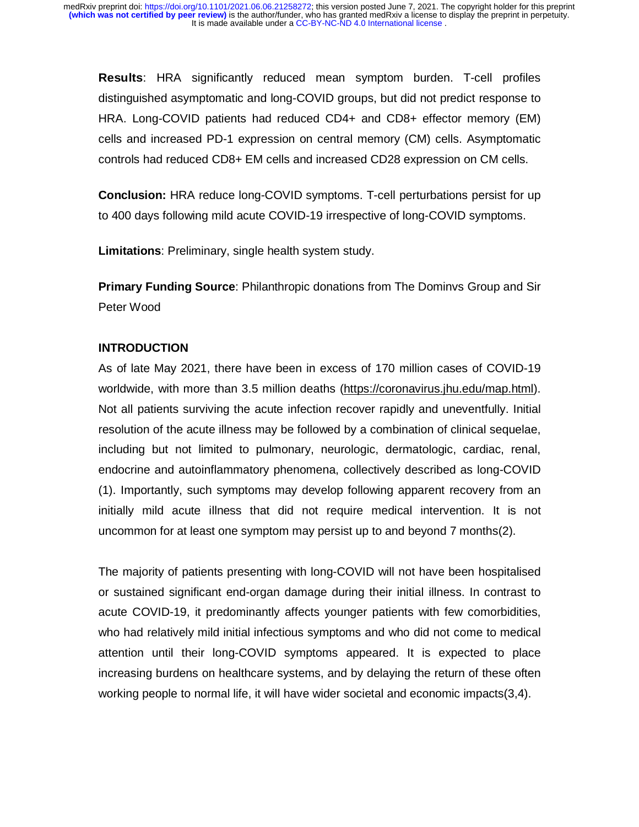**Results**: HRA significantly reduced mean symptom burden. T-cell profiles distinguished asymptomatic and long-COVID groups, but did not predict response to HRA. Long-COVID patients had reduced CD4+ and CD8+ effector memory (EM) cells and increased PD-1 expression on central memory (CM) cells. Asymptomatic controls had reduced CD8+ EM cells and increased CD28 expression on CM cells.

**Conclusion:** HRA reduce long-COVID symptoms. T-cell perturbations persist for up to 400 days following mild acute COVID-19 irrespective of long-COVID symptoms.

**Limitations**: Preliminary, single health system study.

**Primary Funding Source**: Philanthropic donations from The Dominvs Group and Sir Peter Wood

#### **INTRODUCTION**

As of late May 2021, there have been in excess of 170 million cases of COVID-19 worldwide, with more than 3.5 million deaths (https://coronavirus.jhu.edu/map.html). Not all patients surviving the acute infection recover rapidly and uneventfully. Initial resolution of the acute illness may be followed by a combination of clinical sequelae, including but not limited to pulmonary, neurologic, dermatologic, cardiac, renal, endocrine and autoinflammatory phenomena, collectively described as long-COVID (1). Importantly, such symptoms may develop following apparent recovery from an initially mild acute illness that did not require medical intervention. It is not uncommon for at least one symptom may persist up to and beyond 7 months(2).

The majority of patients presenting with long-COVID will not have been hospitalised or sustained significant end-organ damage during their initial illness. In contrast to acute COVID-19, it predominantly affects younger patients with few comorbidities, who had relatively mild initial infectious symptoms and who did not come to medical attention until their long-COVID symptoms appeared. It is expected to place increasing burdens on healthcare systems, and by delaying the return of these often working people to normal life, it will have wider societal and economic impacts(3,4).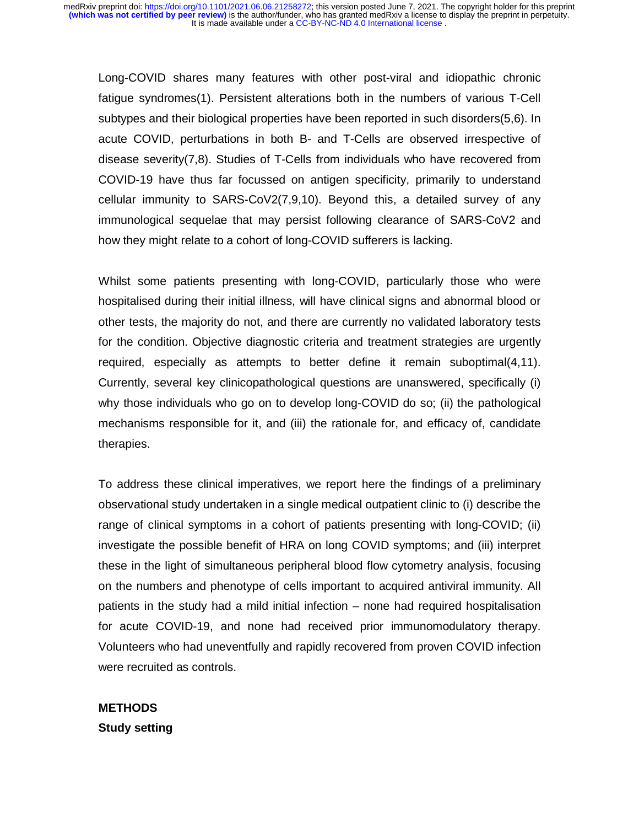Long-COVID shares many features with other post-viral and idiopathic chronic fatigue syndromes(1). Persistent alterations both in the numbers of various T-Cell subtypes and their biological properties have been reported in such disorders(5,6). In acute COVID, perturbations in both B- and T-Cells are observed irrespective of disease severity(7,8). Studies of T-Cells from individuals who have recovered from COVID-19 have thus far focussed on antigen specificity, primarily to understand cellular immunity to SARS-CoV2(7,9,10). Beyond this, a detailed survey of any immunological sequelae that may persist following clearance of SARS-CoV2 and how they might relate to a cohort of long-COVID sufferers is lacking.

Whilst some patients presenting with long-COVID, particularly those who were hospitalised during their initial illness, will have clinical signs and abnormal blood or other tests, the majority do not, and there are currently no validated laboratory tests for the condition. Objective diagnostic criteria and treatment strategies are urgently required, especially as attempts to better define it remain suboptimal(4,11). Currently, several key clinicopathological questions are unanswered, specifically (i) why those individuals who go on to develop long-COVID do so; (ii) the pathological mechanisms responsible for it, and (iii) the rationale for, and efficacy of, candidate therapies.

To address these clinical imperatives, we report here the findings of a preliminary observational study undertaken in a single medical outpatient clinic to (i) describe the range of clinical symptoms in a cohort of patients presenting with long-COVID; (ii) investigate the possible benefit of HRA on long COVID symptoms; and (iii) interpret these in the light of simultaneous peripheral blood flow cytometry analysis, focusing on the numbers and phenotype of cells important to acquired antiviral immunity. All patients in the study had a mild initial infection – none had required hospitalisation for acute COVID-19, and none had received prior immunomodulatory therapy. Volunteers who had uneventfully and rapidly recovered from proven COVID infection were recruited as controls.

**METHODS Study setting**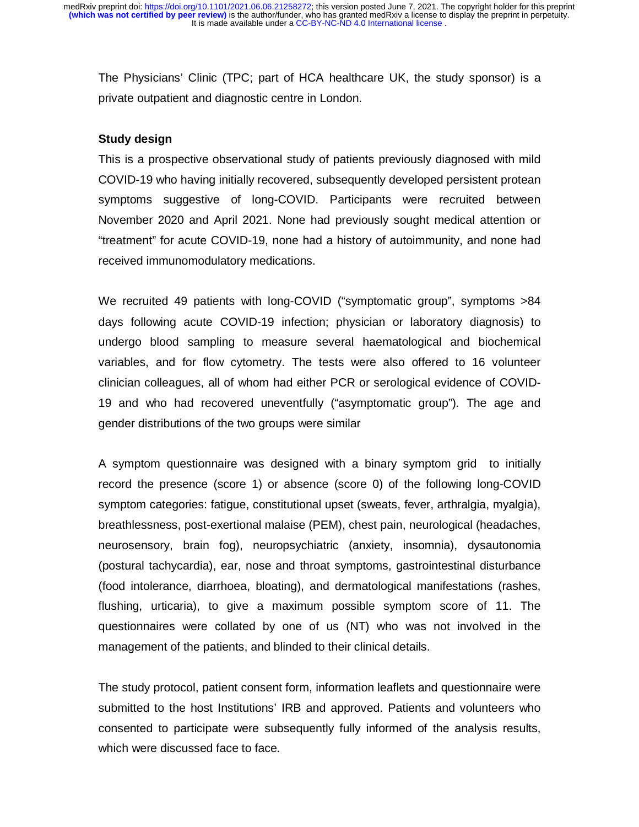The Physicians' Clinic (TPC; part of HCA healthcare UK, the study sponsor) is a private outpatient and diagnostic centre in London.

#### **Study design**

This is a prospective observational study of patients previously diagnosed with mild COVID-19 who having initially recovered, subsequently developed persistent protean symptoms suggestive of long-COVID. Participants were recruited between November 2020 and April 2021. None had previously sought medical attention or "treatment" for acute COVID-19, none had a history of autoimmunity, and none had received immunomodulatory medications.

We recruited 49 patients with long-COVID ("symptomatic group", symptoms >84 days following acute COVID-19 infection; physician or laboratory diagnosis) to undergo blood sampling to measure several haematological and biochemical variables, and for flow cytometry. The tests were also offered to 16 volunteer clinician colleagues, all of whom had either PCR or serological evidence of COVID-19 and who had recovered uneventfully ("asymptomatic group"). The age and gender distributions of the two groups were similar

A symptom questionnaire was designed with a binary symptom grid to initially record the presence (score 1) or absence (score 0) of the following long-COVID symptom categories: fatigue, constitutional upset (sweats, fever, arthralgia, myalgia), breathlessness, post-exertional malaise (PEM), chest pain, neurological (headaches, neurosensory, brain fog), neuropsychiatric (anxiety, insomnia), dysautonomia (postural tachycardia), ear, nose and throat symptoms, gastrointestinal disturbance (food intolerance, diarrhoea, bloating), and dermatological manifestations (rashes, flushing, urticaria), to give a maximum possible symptom score of 11. The questionnaires were collated by one of us (NT) who was not involved in the management of the patients, and blinded to their clinical details.

The study protocol, patient consent form, information leaflets and questionnaire were submitted to the host Institutions' IRB and approved. Patients and volunteers who consented to participate were subsequently fully informed of the analysis results, which were discussed face to face.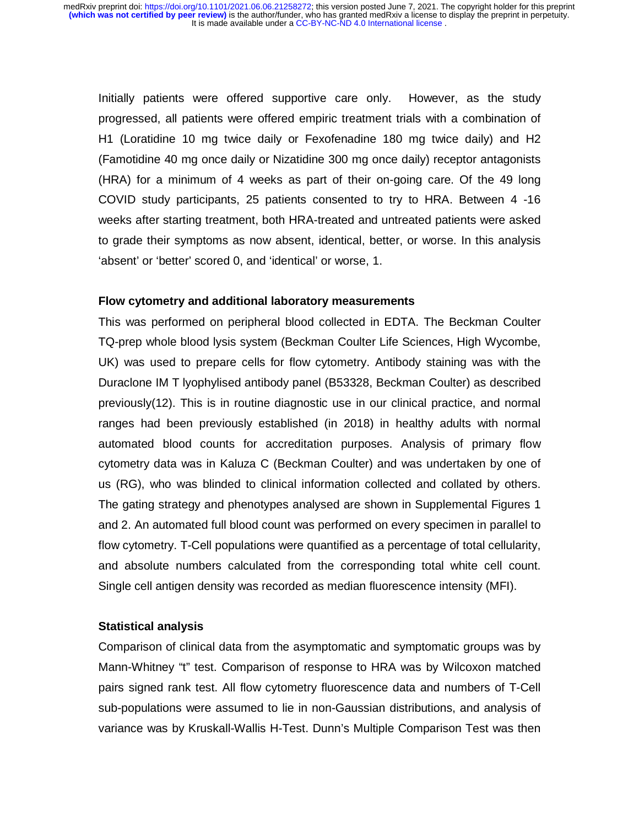Initially patients were offered supportive care only. However, as the study progressed, all patients were offered empiric treatment trials with a combination of H1 (Loratidine 10 mg twice daily or Fexofenadine 180 mg twice daily) and H2 (Famotidine 40 mg once daily or Nizatidine 300 mg once daily) receptor antagonists (HRA) for a minimum of 4 weeks as part of their on-going care. Of the 49 long COVID study participants, 25 patients consented to try to HRA. Between 4 -16 weeks after starting treatment, both HRA-treated and untreated patients were asked to grade their symptoms as now absent, identical, better, or worse. In this analysis 'absent' or 'better' scored 0, and 'identical' or worse, 1.

#### **Flow cytometry and additional laboratory measurements**

This was performed on peripheral blood collected in EDTA. The Beckman Coulter TQ-prep whole blood lysis system (Beckman Coulter Life Sciences, High Wycombe, UK) was used to prepare cells for flow cytometry. Antibody staining was with the Duraclone IM T lyophylised antibody panel (B53328, Beckman Coulter) as described previously(12). This is in routine diagnostic use in our clinical practice, and normal ranges had been previously established (in 2018) in healthy adults with normal automated blood counts for accreditation purposes. Analysis of primary flow cytometry data was in Kaluza C (Beckman Coulter) and was undertaken by one of us (RG), who was blinded to clinical information collected and collated by others. The gating strategy and phenotypes analysed are shown in Supplemental Figures 1 and 2. An automated full blood count was performed on every specimen in parallel to flow cytometry. T-Cell populations were quantified as a percentage of total cellularity, and absolute numbers calculated from the corresponding total white cell count. Single cell antigen density was recorded as median fluorescence intensity (MFI).

#### **Statistical analysis**

Comparison of clinical data from the asymptomatic and symptomatic groups was by Mann-Whitney "t" test. Comparison of response to HRA was by Wilcoxon matched pairs signed rank test. All flow cytometry fluorescence data and numbers of T-Cell sub-populations were assumed to lie in non-Gaussian distributions, and analysis of variance was by Kruskall-Wallis H-Test. Dunn's Multiple Comparison Test was then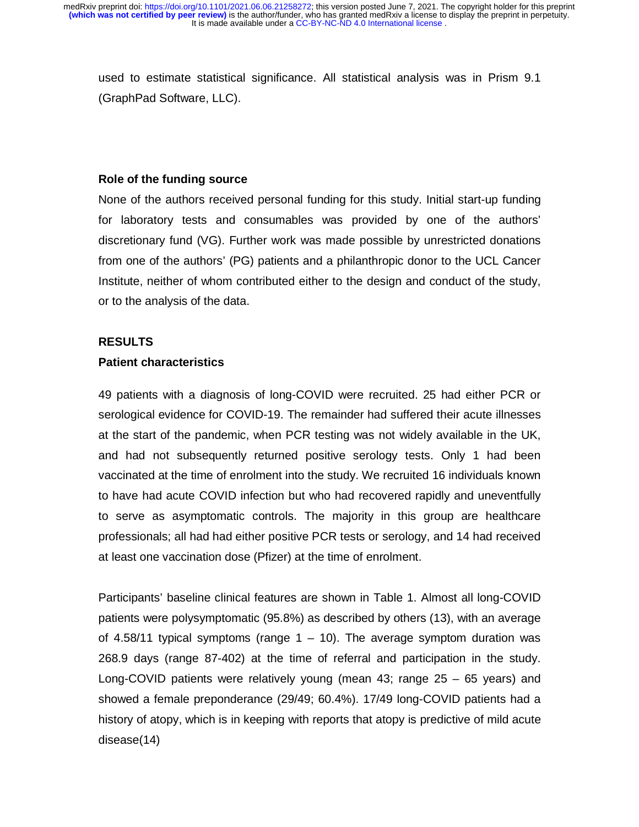used to estimate statistical significance. All statistical analysis was in Prism 9.1 (GraphPad Software, LLC).

#### **Role of the funding source**

None of the authors received personal funding for this study. Initial start-up funding for laboratory tests and consumables was provided by one of the authors' discretionary fund (VG). Further work was made possible by unrestricted donations from one of the authors' (PG) patients and a philanthropic donor to the UCL Cancer Institute, neither of whom contributed either to the design and conduct of the study, or to the analysis of the data.

#### **RESULTS**

#### **Patient characteristics**

49 patients with a diagnosis of long-COVID were recruited. 25 had either PCR or serological evidence for COVID-19. The remainder had suffered their acute illnesses at the start of the pandemic, when PCR testing was not widely available in the UK, and had not subsequently returned positive serology tests. Only 1 had been vaccinated at the time of enrolment into the study. We recruited 16 individuals known to have had acute COVID infection but who had recovered rapidly and uneventfully to serve as asymptomatic controls. The majority in this group are healthcare professionals; all had had either positive PCR tests or serology, and 14 had received at least one vaccination dose (Pfizer) at the time of enrolment.

Participants' baseline clinical features are shown in Table 1. Almost all long-COVID patients were polysymptomatic (95.8%) as described by others (13), with an average of 4.58/11 typical symptoms (range  $1 - 10$ ). The average symptom duration was 268.9 days (range 87-402) at the time of referral and participation in the study. Long-COVID patients were relatively young (mean 43; range 25 – 65 years) and showed a female preponderance (29/49; 60.4%). 17/49 long-COVID patients had a history of atopy, which is in keeping with reports that atopy is predictive of mild acute disease(14)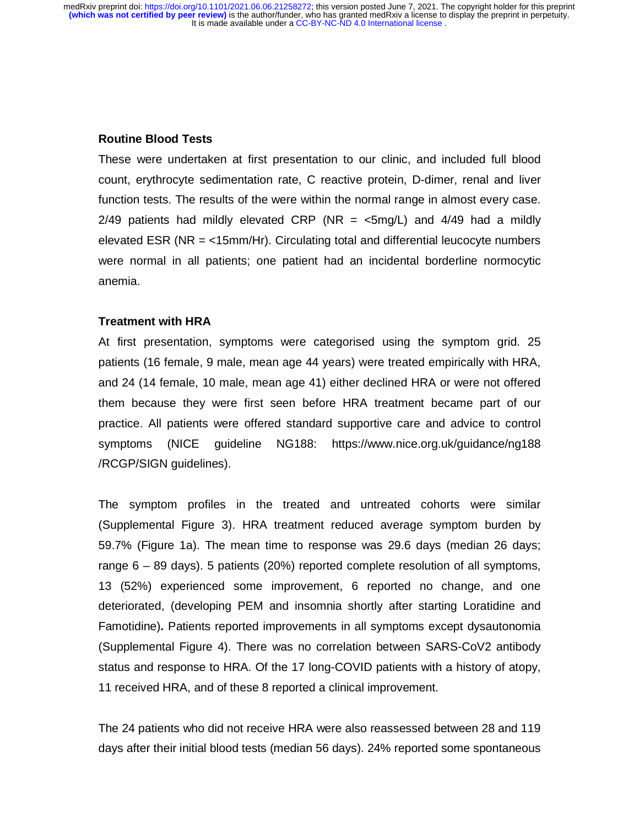#### **Routine Blood Tests**

These were undertaken at first presentation to our clinic, and included full blood count, erythrocyte sedimentation rate, C reactive protein, D-dimer, renal and liver function tests. The results of the were within the normal range in almost every case. 2/49 patients had mildly elevated CRP (NR  $=$  <5mg/L) and 4/49 had a mildly elevated ESR (NR = <15mm/Hr). Circulating total and differential leucocyte numbers were normal in all patients; one patient had an incidental borderline normocytic anemia.

#### **Treatment with HRA**

At first presentation, symptoms were categorised using the symptom grid. 25 patients (16 female, 9 male, mean age 44 years) were treated empirically with HRA, and 24 (14 female, 10 male, mean age 41) either declined HRA or were not offered them because they were first seen before HRA treatment became part of our practice. All patients were offered standard supportive care and advice to control symptoms (NICE guideline NG188: https://www.nice.org.uk/guidance/ng188 /RCGP/SIGN guidelines).

The symptom profiles in the treated and untreated cohorts were similar (Supplemental Figure 3). HRA treatment reduced average symptom burden by 59.7% (Figure 1a). The mean time to response was 29.6 days (median 26 days; range 6 – 89 days). 5 patients (20%) reported complete resolution of all symptoms, 13 (52%) experienced some improvement, 6 reported no change, and one deteriorated, (developing PEM and insomnia shortly after starting Loratidine and Famotidine)**.** Patients reported improvements in all symptoms except dysautonomia (Supplemental Figure 4). There was no correlation between SARS-CoV2 antibody status and response to HRA. Of the 17 long-COVID patients with a history of atopy, 11 received HRA, and of these 8 reported a clinical improvement.

The 24 patients who did not receive HRA were also reassessed between 28 and 119 days after their initial blood tests (median 56 days). 24% reported some spontaneous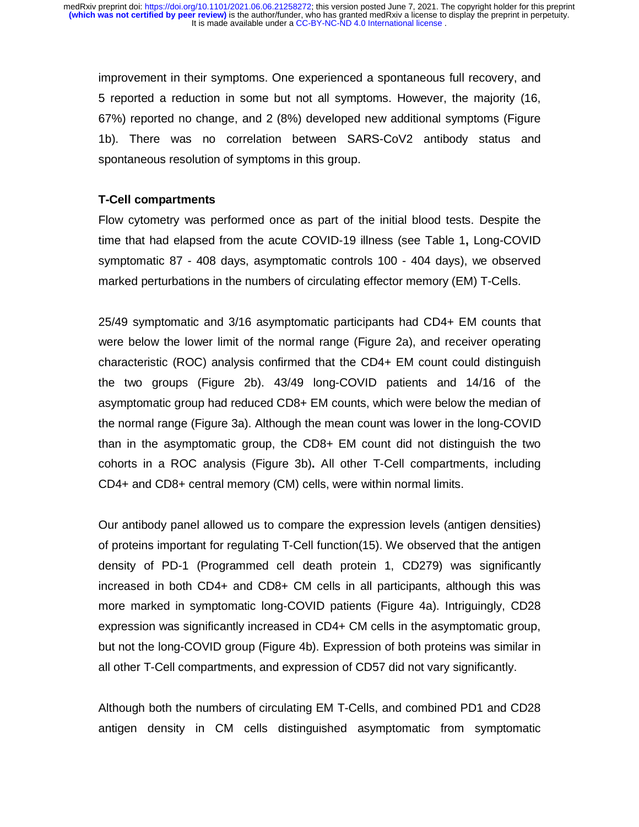improvement in their symptoms. One experienced a spontaneous full recovery, and 5 reported a reduction in some but not all symptoms. However, the majority (16, 67%) reported no change, and 2 (8%) developed new additional symptoms (Figure 1b). There was no correlation between SARS-CoV2 antibody status and spontaneous resolution of symptoms in this group.

#### **T-Cell compartments**

Flow cytometry was performed once as part of the initial blood tests. Despite the time that had elapsed from the acute COVID-19 illness (see Table 1**,** Long-COVID symptomatic 87 - 408 days, asymptomatic controls 100 - 404 days), we observed marked perturbations in the numbers of circulating effector memory (EM) T-Cells.

25/49 symptomatic and 3/16 asymptomatic participants had CD4+ EM counts that were below the lower limit of the normal range (Figure 2a), and receiver operating characteristic (ROC) analysis confirmed that the CD4+ EM count could distinguish the two groups (Figure 2b). 43/49 long-COVID patients and 14/16 of the asymptomatic group had reduced CD8+ EM counts, which were below the median of the normal range (Figure 3a). Although the mean count was lower in the long-COVID than in the asymptomatic group, the CD8+ EM count did not distinguish the two cohorts in a ROC analysis (Figure 3b)**.** All other T-Cell compartments, including CD4+ and CD8+ central memory (CM) cells, were within normal limits.

Our antibody panel allowed us to compare the expression levels (antigen densities) of proteins important for regulating T-Cell function(15). We observed that the antigen density of PD-1 (Programmed cell death protein 1, CD279) was significantly increased in both CD4+ and CD8+ CM cells in all participants, although this was more marked in symptomatic long-COVID patients (Figure 4a). Intriguingly, CD28 expression was significantly increased in CD4+ CM cells in the asymptomatic group, but not the long-COVID group (Figure 4b). Expression of both proteins was similar in all other T-Cell compartments, and expression of CD57 did not vary significantly.

Although both the numbers of circulating EM T-Cells, and combined PD1 and CD28 antigen density in CM cells distinguished asymptomatic from symptomatic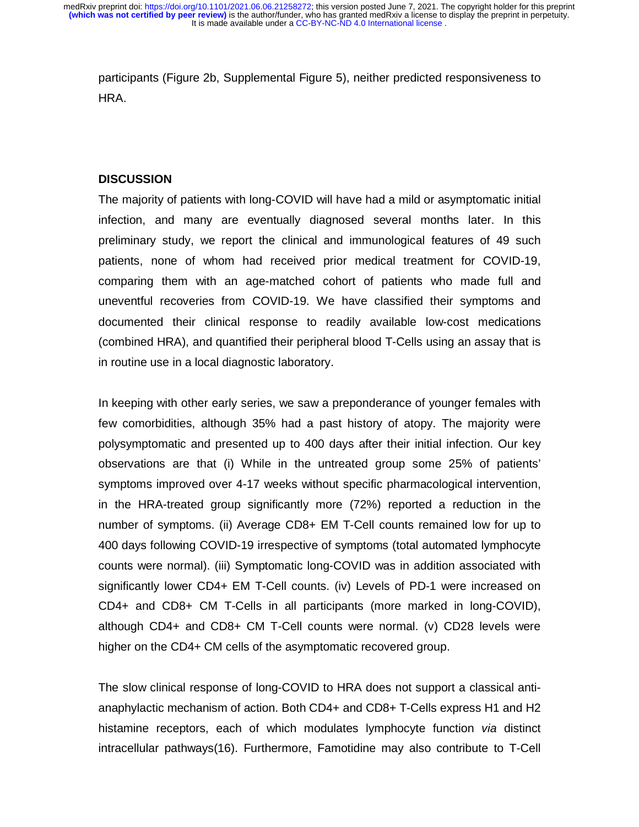participants (Figure 2b, Supplemental Figure 5), neither predicted responsiveness to HRA.

#### **DISCUSSION**

The majority of patients with long-COVID will have had a mild or asymptomatic initial infection, and many are eventually diagnosed several months later. In this preliminary study, we report the clinical and immunological features of 49 such patients, none of whom had received prior medical treatment for COVID-19, comparing them with an age-matched cohort of patients who made full and uneventful recoveries from COVID-19. We have classified their symptoms and documented their clinical response to readily available low-cost medications (combined HRA), and quantified their peripheral blood T-Cells using an assay that is in routine use in a local diagnostic laboratory.

In keeping with other early series, we saw a preponderance of younger females with few comorbidities, although 35% had a past history of atopy. The majority were polysymptomatic and presented up to 400 days after their initial infection. Our key observations are that (i) While in the untreated group some 25% of patients' symptoms improved over 4-17 weeks without specific pharmacological intervention, in the HRA-treated group significantly more (72%) reported a reduction in the number of symptoms. (ii) Average CD8+ EM T-Cell counts remained low for up to 400 days following COVID-19 irrespective of symptoms (total automated lymphocyte counts were normal). (iii) Symptomatic long-COVID was in addition associated with significantly lower CD4+ EM T-Cell counts. (iv) Levels of PD-1 were increased on CD4+ and CD8+ CM T-Cells in all participants (more marked in long-COVID), although CD4+ and CD8+ CM T-Cell counts were normal. (v) CD28 levels were higher on the CD4+ CM cells of the asymptomatic recovered group.

The slow clinical response of long-COVID to HRA does not support a classical antianaphylactic mechanism of action. Both CD4+ and CD8+ T-Cells express H1 and H2 histamine receptors, each of which modulates lymphocyte function *via* distinct intracellular pathways(16). Furthermore, Famotidine may also contribute to T-Cell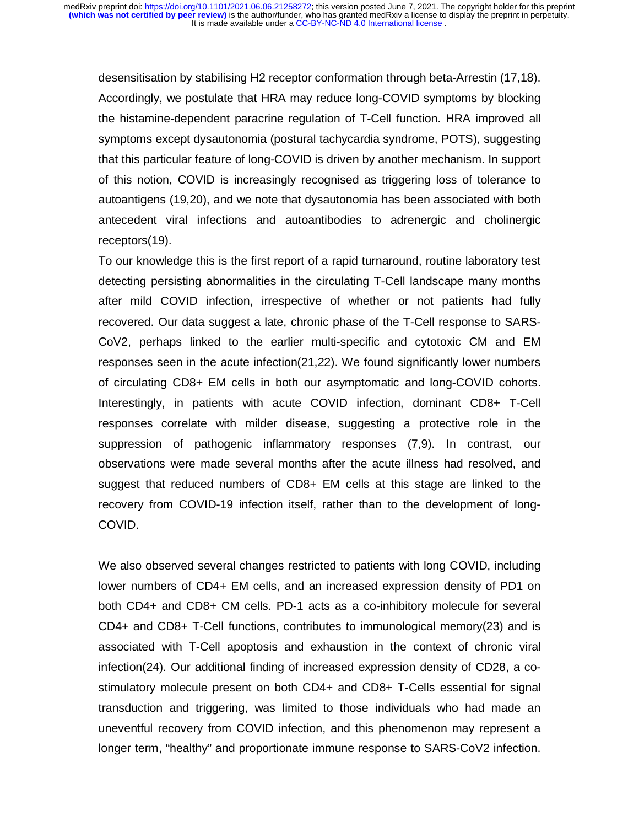desensitisation by stabilising H2 receptor conformation through beta-Arrestin (17,18). Accordingly, we postulate that HRA may reduce long-COVID symptoms by blocking the histamine-dependent paracrine regulation of T-Cell function. HRA improved all symptoms except dysautonomia (postural tachycardia syndrome, POTS), suggesting that this particular feature of long-COVID is driven by another mechanism. In support of this notion, COVID is increasingly recognised as triggering loss of tolerance to autoantigens (19,20), and we note that dysautonomia has been associated with both antecedent viral infections and autoantibodies to adrenergic and cholinergic receptors(19).

To our knowledge this is the first report of a rapid turnaround, routine laboratory test detecting persisting abnormalities in the circulating T-Cell landscape many months after mild COVID infection, irrespective of whether or not patients had fully recovered. Our data suggest a late, chronic phase of the T-Cell response to SARS-CoV2, perhaps linked to the earlier multi-specific and cytotoxic CM and EM responses seen in the acute infection(21,22). We found significantly lower numbers of circulating CD8+ EM cells in both our asymptomatic and long-COVID cohorts. Interestingly, in patients with acute COVID infection, dominant CD8+ T-Cell responses correlate with milder disease, suggesting a protective role in the suppression of pathogenic inflammatory responses (7,9). In contrast, our observations were made several months after the acute illness had resolved, and suggest that reduced numbers of CD8+ EM cells at this stage are linked to the recovery from COVID-19 infection itself, rather than to the development of long-COVID.

We also observed several changes restricted to patients with long COVID, including lower numbers of CD4+ EM cells, and an increased expression density of PD1 on both CD4+ and CD8+ CM cells. PD-1 acts as a co-inhibitory molecule for several CD4+ and CD8+ T-Cell functions, contributes to immunological memory(23) and is associated with T-Cell apoptosis and exhaustion in the context of chronic viral infection(24). Our additional finding of increased expression density of CD28, a costimulatory molecule present on both CD4+ and CD8+ T-Cells essential for signal transduction and triggering, was limited to those individuals who had made an uneventful recovery from COVID infection, and this phenomenon may represent a longer term, "healthy" and proportionate immune response to SARS-CoV2 infection.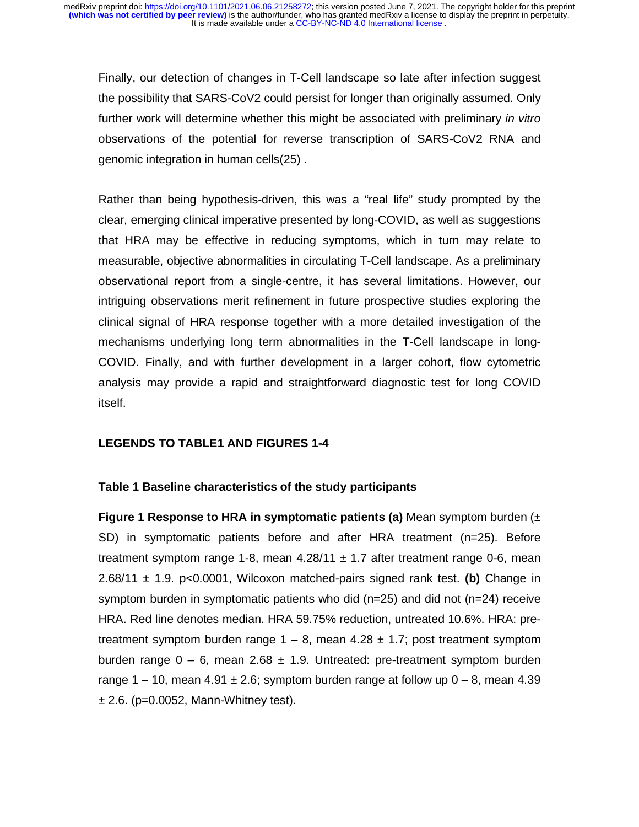Finally, our detection of changes in T-Cell landscape so late after infection suggest the possibility that SARS-CoV2 could persist for longer than originally assumed. Only further work will determine whether this might be associated with preliminary *in vitro*  observations of the potential for reverse transcription of SARS-CoV2 RNA and genomic integration in human cells(25) .

Rather than being hypothesis-driven, this was a "real life" study prompted by the clear, emerging clinical imperative presented by long-COVID, as well as suggestions that HRA may be effective in reducing symptoms, which in turn may relate to measurable, objective abnormalities in circulating T-Cell landscape. As a preliminary observational report from a single-centre, it has several limitations. However, our intriguing observations merit refinement in future prospective studies exploring the clinical signal of HRA response together with a more detailed investigation of the mechanisms underlying long term abnormalities in the T-Cell landscape in long-COVID. Finally, and with further development in a larger cohort, flow cytometric analysis may provide a rapid and straightforward diagnostic test for long COVID itself.

#### **LEGENDS TO TABLE1 AND FIGURES 1-4**

#### **Table 1 Baseline characteristics of the study participants**

**Figure 1 Response to HRA in symptomatic patients (a)** Mean symptom burden (± SD) in symptomatic patients before and after HRA treatment (n=25). Before treatment symptom range 1-8, mean  $4.28/11 \pm 1.7$  after treatment range 0-6, mean 2.68/11 ± 1.9. p<0.0001, Wilcoxon matched-pairs signed rank test. **(b)** Change in symptom burden in symptomatic patients who did (n=25) and did not (n=24) receive HRA. Red line denotes median. HRA 59.75% reduction, untreated 10.6%. HRA: pretreatment symptom burden range  $1 - 8$ , mean  $4.28 \pm 1.7$ ; post treatment symptom burden range  $0 - 6$ , mean 2.68  $\pm$  1.9. Untreated: pre-treatment symptom burden range  $1 - 10$ , mean  $4.91 \pm 2.6$ ; symptom burden range at follow up  $0 - 8$ , mean  $4.39$  $\pm$  2.6. (p=0.0052, Mann-Whitney test).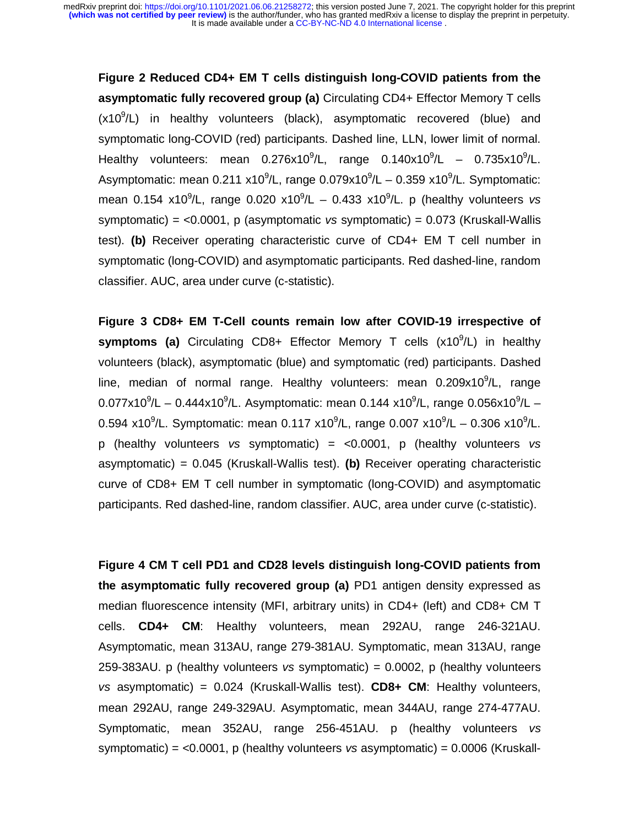**Figure 2 Reduced CD4+ EM T cells distinguish long-COVID patients from the asymptomatic fully recovered group (a)** Circulating CD4+ Effector Memory T cells (x10<sup>9</sup>/L) in healthy volunteers (black), asymptomatic recovered (blue) and symptomatic long-COVID (red) participants. Dashed line, LLN, lower limit of normal. Healthy volunteers: mean  $0.276x10^9$ /L, range  $0.140x10^9$ /L –  $0.735x10^9$ /L. Asymptomatic: mean 0.211 x10 $^9$ /L, range 0.079x10 $^9$ /L – 0.359 x10 $^9$ /L. Symptomatic: mean 0.154 x10<sup>9</sup>/L, range 0.020 x10<sup>9</sup>/L – 0.433 x10<sup>9</sup>/L. p (healthy volunteers vs symptomatic) = <0.0001, p (asymptomatic *vs* symptomatic) = 0.073 (Kruskall-Wallis test). **(b)** Receiver operating characteristic curve of CD4+ EM T cell number in symptomatic (long-COVID) and asymptomatic participants. Red dashed-line, random classifier. AUC, area under curve (c-statistic).

**Figure 3 CD8+ EM T-Cell counts remain low after COVID-19 irrespective of**  symptoms (a) Circulating CD8+ Effector Memory T cells (x10<sup>9</sup>/L) in healthy volunteers (black), asymptomatic (blue) and symptomatic (red) participants. Dashed line, median of normal range. Healthy volunteers: mean  $0.209x10^9$ /L, range 0.077x10<sup>9</sup>/L – 0.444x10<sup>9</sup>/L. Asymptomatic: mean 0.144 x10<sup>9</sup>/L, range 0.056x10<sup>9</sup>/L – 0.594 x10<sup>9</sup>/L. Symptomatic: mean 0.117 x10<sup>9</sup>/L, range 0.007 x10<sup>9</sup>/L – 0.306 x10<sup>9</sup>/L. p (healthy volunteers *vs* symptomatic) = <0.0001, p (healthy volunteers *vs*  asymptomatic) = 0.045 (Kruskall-Wallis test). **(b)** Receiver operating characteristic curve of CD8+ EM T cell number in symptomatic (long-COVID) and asymptomatic participants. Red dashed-line, random classifier. AUC, area under curve (c-statistic).

**Figure 4 CM T cell PD1 and CD28 levels distinguish long-COVID patients from the asymptomatic fully recovered group (a)** PD1 antigen density expressed as median fluorescence intensity (MFI, arbitrary units) in CD4+ (left) and CD8+ CM T cells. **CD4+ CM**: Healthy volunteers, mean 292AU, range 246-321AU. Asymptomatic, mean 313AU, range 279-381AU. Symptomatic, mean 313AU, range 259-383AU. p (healthy volunteers *vs* symptomatic) = 0.0002, p (healthy volunteers *vs* asymptomatic) = 0.024 (Kruskall-Wallis test). **CD8+ CM**: Healthy volunteers, mean 292AU, range 249-329AU. Asymptomatic, mean 344AU, range 274-477AU. Symptomatic, mean 352AU, range 256-451AU. p (healthy volunteers *vs*  symptomatic) = *<*0.0001, p (healthy volunteers *vs* asymptomatic) = 0.0006 (Kruskall-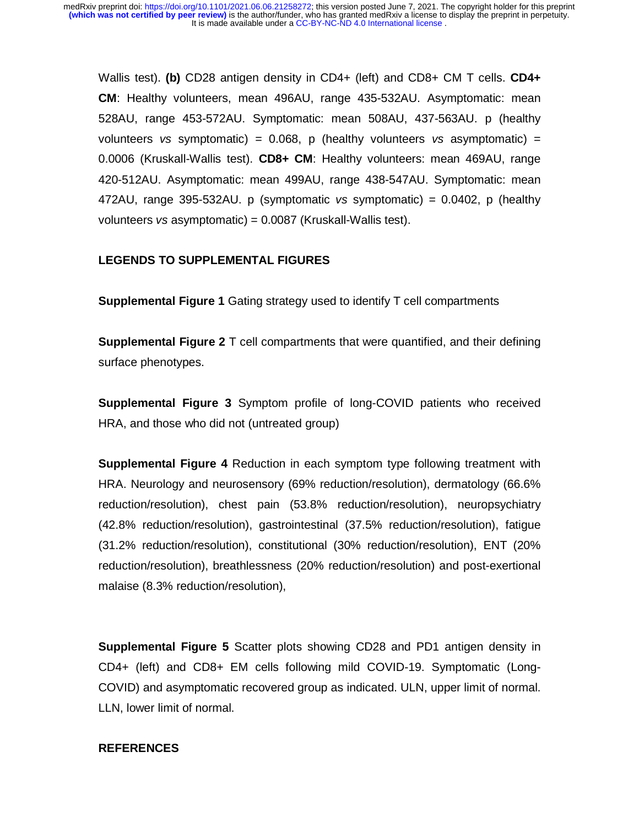Wallis test). **(b)** CD28 antigen density in CD4+ (left) and CD8+ CM T cells. **CD4+ CM**: Healthy volunteers, mean 496AU, range 435-532AU. Asymptomatic: mean 528AU, range 453-572AU. Symptomatic: mean 508AU, 437-563AU. p (healthy volunteers *vs* symptomatic) = 0.068, p (healthy volunteers *vs* asymptomatic) = 0.0006 (Kruskall-Wallis test). **CD8+ CM**: Healthy volunteers: mean 469AU, range 420-512AU. Asymptomatic: mean 499AU, range 438-547AU. Symptomatic: mean 472AU, range 395-532AU. p (symptomatic *vs* symptomatic) = 0.0402, p (healthy volunteers *vs* asymptomatic) = 0.0087 (Kruskall-Wallis test).

#### **LEGENDS TO SUPPLEMENTAL FIGURES**

**Supplemental Figure 1** Gating strategy used to identify T cell compartments

**Supplemental Figure 2** T cell compartments that were quantified, and their defining surface phenotypes.

**Supplemental Figure 3** Symptom profile of long-COVID patients who received HRA, and those who did not (untreated group)

**Supplemental Figure 4** Reduction in each symptom type following treatment with HRA. Neurology and neurosensory (69% reduction/resolution), dermatology (66.6% reduction/resolution), chest pain (53.8% reduction/resolution), neuropsychiatry (42.8% reduction/resolution), gastrointestinal (37.5% reduction/resolution), fatigue (31.2% reduction/resolution), constitutional (30% reduction/resolution), ENT (20% reduction/resolution), breathlessness (20% reduction/resolution) and post-exertional malaise (8.3% reduction/resolution),

**Supplemental Figure 5** Scatter plots showing CD28 and PD1 antigen density in CD4+ (left) and CD8+ EM cells following mild COVID-19. Symptomatic (Long-COVID) and asymptomatic recovered group as indicated. ULN, upper limit of normal. LLN, lower limit of normal.

#### **REFERENCES**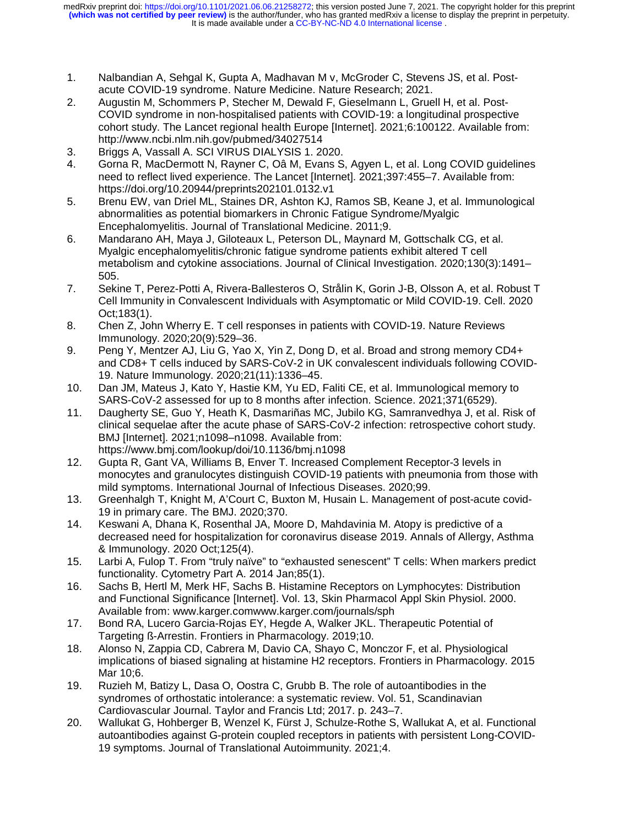- 1. Nalbandian A, Sehgal K, Gupta A, Madhavan M v, McGroder C, Stevens JS, et al. Postacute COVID-19 syndrome. Nature Medicine. Nature Research; 2021.
- 2. Augustin M, Schommers P, Stecher M, Dewald F, Gieselmann L, Gruell H, et al. Post-COVID syndrome in non-hospitalised patients with COVID-19: a longitudinal prospective cohort study. The Lancet regional health Europe [Internet]. 2021;6:100122. Available from: http://www.ncbi.nlm.nih.gov/pubmed/34027514
- 3. Briggs A, Vassall A. SCI VIRUS DIALYSIS 1. 2020.
- 4. Gorna R, MacDermott N, Rayner C, Oâ M, Evans S, Agyen L, et al. Long COVID guidelines need to reflect lived experience. The Lancet [Internet]. 2021;397:455–7. Available from: https://doi.org/10.20944/preprints202101.0132.v1
- 5. Brenu EW, van Driel ML, Staines DR, Ashton KJ, Ramos SB, Keane J, et al. Immunological abnormalities as potential biomarkers in Chronic Fatigue Syndrome/Myalgic Encephalomyelitis. Journal of Translational Medicine. 2011;9.
- 6. Mandarano AH, Maya J, Giloteaux L, Peterson DL, Maynard M, Gottschalk CG, et al. Myalgic encephalomyelitis/chronic fatigue syndrome patients exhibit altered T cell metabolism and cytokine associations. Journal of Clinical Investigation. 2020;130(3):1491– 505.
- 7. Sekine T, Perez-Potti A, Rivera-Ballesteros O, Strålin K, Gorin J-B, Olsson A, et al. Robust T Cell Immunity in Convalescent Individuals with Asymptomatic or Mild COVID-19. Cell. 2020 Oct;183(1).
- 8. Chen Z, John Wherry E. T cell responses in patients with COVID-19. Nature Reviews Immunology. 2020;20(9):529–36.
- 9. Peng Y, Mentzer AJ, Liu G, Yao X, Yin Z, Dong D, et al. Broad and strong memory CD4+ and CD8+ T cells induced by SARS-CoV-2 in UK convalescent individuals following COVID-19. Nature Immunology. 2020;21(11):1336–45.
- 10. Dan JM, Mateus J, Kato Y, Hastie KM, Yu ED, Faliti CE, et al. Immunological memory to SARS-CoV-2 assessed for up to 8 months after infection. Science. 2021;371(6529).
- 11. Daugherty SE, Guo Y, Heath K, Dasmariñas MC, Jubilo KG, Samranvedhya J, et al. Risk of clinical sequelae after the acute phase of SARS-CoV-2 infection: retrospective cohort study. BMJ [Internet]. 2021;n1098–n1098. Available from: https://www.bmj.com/lookup/doi/10.1136/bmj.n1098
- 12. Gupta R, Gant VA, Williams B, Enver T. Increased Complement Receptor-3 levels in monocytes and granulocytes distinguish COVID-19 patients with pneumonia from those with mild symptoms. International Journal of Infectious Diseases. 2020;99.
- 13. Greenhalgh T, Knight M, A'Court C, Buxton M, Husain L. Management of post-acute covid-19 in primary care. The BMJ. 2020;370.
- 14. Keswani A, Dhana K, Rosenthal JA, Moore D, Mahdavinia M. Atopy is predictive of a decreased need for hospitalization for coronavirus disease 2019. Annals of Allergy, Asthma & Immunology. 2020 Oct;125(4).
- 15. Larbi A, Fulop T. From "truly naïve" to "exhausted senescent" T cells: When markers predict functionality. Cytometry Part A. 2014 Jan;85(1).
- 16. Sachs B, Hertl M, Merk HF, Sachs B. Histamine Receptors on Lymphocytes: Distribution and Functional Significance [Internet]. Vol. 13, Skin Pharmacol Appl Skin Physiol. 2000. Available from: www.karger.comwww.karger.com/journals/sph
- 17. Bond RA, Lucero Garcia-Rojas EY, Hegde A, Walker JKL. Therapeutic Potential of Targeting ß-Arrestin. Frontiers in Pharmacology. 2019;10.
- 18. Alonso N, Zappia CD, Cabrera M, Davio CA, Shayo C, Monczor F, et al. Physiological implications of biased signaling at histamine H2 receptors. Frontiers in Pharmacology. 2015 Mar 10;6.
- 19. Ruzieh M, Batizy L, Dasa O, Oostra C, Grubb B. The role of autoantibodies in the syndromes of orthostatic intolerance: a systematic review. Vol. 51, Scandinavian Cardiovascular Journal. Taylor and Francis Ltd; 2017. p. 243–7.
- 20. Wallukat G, Hohberger B, Wenzel K, Fürst J, Schulze-Rothe S, Wallukat A, et al. Functional autoantibodies against G-protein coupled receptors in patients with persistent Long-COVID-19 symptoms. Journal of Translational Autoimmunity. 2021;4.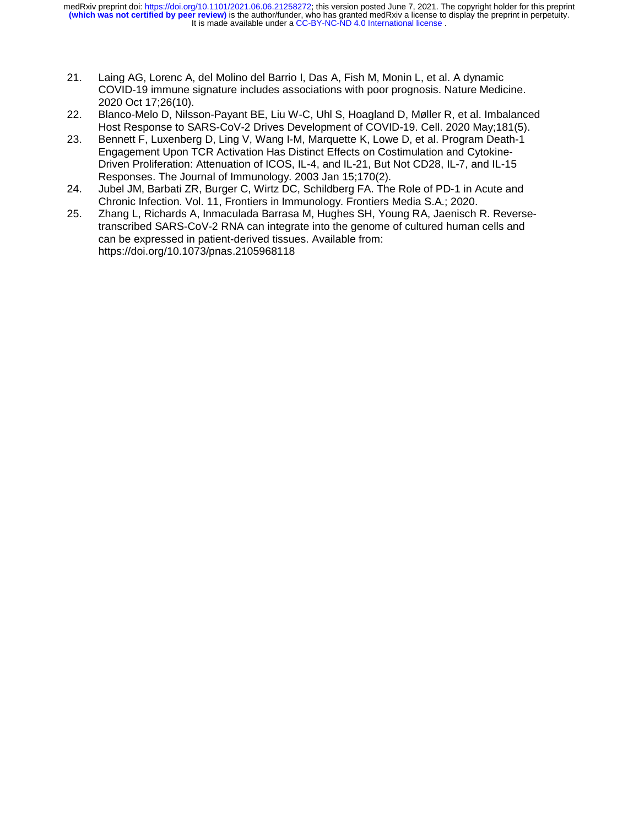It is made available under a [CC-BY-NC-ND 4.0 International license](http://creativecommons.org/licenses/by-nc-nd/4.0/) . **(which was not certified by peer review)** is the author/funder, who has granted medRxiv a license to display the preprint in perpetuity. medRxiv preprint doi: [https://doi.org/10.1101/2021.06.06.21258272;](https://doi.org/10.1101/2021.06.06.21258272) this version posted June 7, 2021. The copyright holder for this preprint

- 21. Laing AG, Lorenc A, del Molino del Barrio I, Das A, Fish M, Monin L, et al. A dynamic COVID-19 immune signature includes associations with poor prognosis. Nature Medicine. 2020 Oct 17;26(10).
- 22. Blanco-Melo D, Nilsson-Payant BE, Liu W-C, Uhl S, Hoagland D, Møller R, et al. Imbalanced Host Response to SARS-CoV-2 Drives Development of COVID-19. Cell. 2020 May;181(5).
- 23. Bennett F, Luxenberg D, Ling V, Wang I-M, Marquette K, Lowe D, et al. Program Death-1 Engagement Upon TCR Activation Has Distinct Effects on Costimulation and Cytokine-Driven Proliferation: Attenuation of ICOS, IL-4, and IL-21, But Not CD28, IL-7, and IL-15 Responses. The Journal of Immunology. 2003 Jan 15;170(2).
- 24. Jubel JM, Barbati ZR, Burger C, Wirtz DC, Schildberg FA. The Role of PD-1 in Acute and Chronic Infection. Vol. 11, Frontiers in Immunology. Frontiers Media S.A.; 2020.
- 25. Zhang L, Richards A, Inmaculada Barrasa M, Hughes SH, Young RA, Jaenisch R. Reversetranscribed SARS-CoV-2 RNA can integrate into the genome of cultured human cells and can be expressed in patient-derived tissues. Available from: https://doi.org/10.1073/pnas.2105968118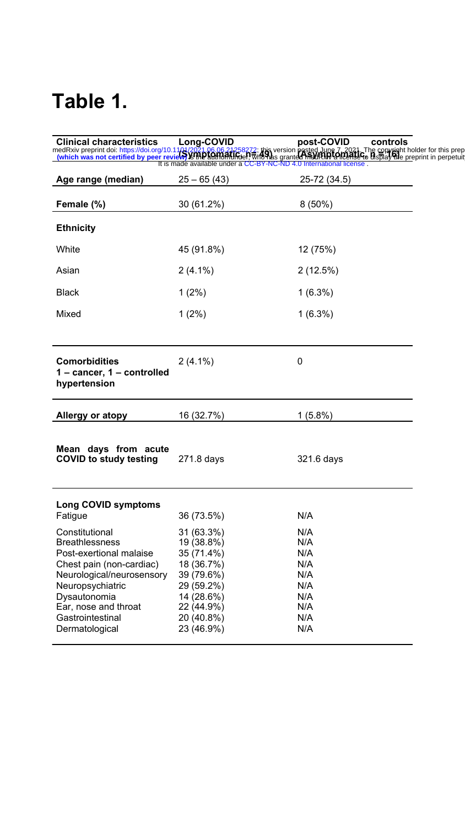## **Table 1.**

| <b>Clinical characteristics</b>                                                                                                                                                                                               | Long-COVID                                                                                                                               | post-COVID<br>controls                                                                                                                                                                                                            |  |
|-------------------------------------------------------------------------------------------------------------------------------------------------------------------------------------------------------------------------------|------------------------------------------------------------------------------------------------------------------------------------------|-----------------------------------------------------------------------------------------------------------------------------------------------------------------------------------------------------------------------------------|--|
|                                                                                                                                                                                                                               | It is made available under a CC-BY-NC-ND 4.0 International license.                                                                      | medRxiv preprint doi: https://doi.org/10.1101/2021.06.06.21258272; this version posted June 7, 2021. The convight holder for this prep<br>(which was not certified by peer review) STIND SONTOFALIRO ET with the granted medIRXIV |  |
| Age range (median)                                                                                                                                                                                                            | $25 - 65(43)$                                                                                                                            | 25-72 (34.5)                                                                                                                                                                                                                      |  |
| Female (%)                                                                                                                                                                                                                    | 30 (61.2%)                                                                                                                               | $8(50\%)$                                                                                                                                                                                                                         |  |
| <b>Ethnicity</b>                                                                                                                                                                                                              |                                                                                                                                          |                                                                                                                                                                                                                                   |  |
| White                                                                                                                                                                                                                         | 45 (91.8%)                                                                                                                               | 12 (75%)                                                                                                                                                                                                                          |  |
| Asian                                                                                                                                                                                                                         | $2(4.1\%)$                                                                                                                               | 2(12.5%)                                                                                                                                                                                                                          |  |
| <b>Black</b>                                                                                                                                                                                                                  | $1(2\%)$                                                                                                                                 | $1(6.3\%)$                                                                                                                                                                                                                        |  |
| Mixed                                                                                                                                                                                                                         | $1(2\%)$                                                                                                                                 | $1(6.3\%)$                                                                                                                                                                                                                        |  |
|                                                                                                                                                                                                                               |                                                                                                                                          |                                                                                                                                                                                                                                   |  |
| <b>Comorbidities</b><br>1 - cancer, 1 - controlled<br>hypertension                                                                                                                                                            | $2(4.1\%)$                                                                                                                               | 0                                                                                                                                                                                                                                 |  |
| <b>Allergy or atopy</b>                                                                                                                                                                                                       | 16 (32.7%)                                                                                                                               | $1(5.8\%)$                                                                                                                                                                                                                        |  |
| Mean days from acute<br><b>COVID to study testing</b>                                                                                                                                                                         | 271.8 days                                                                                                                               | 321.6 days                                                                                                                                                                                                                        |  |
| <b>Long COVID symptoms</b><br>Fatigue                                                                                                                                                                                         | 36 (73.5%)                                                                                                                               | N/A                                                                                                                                                                                                                               |  |
| Constitutional<br><b>Breathlessness</b><br>Post-exertional malaise<br>Chest pain (non-cardiac)<br>Neurological/neurosensory<br>Neuropsychiatric<br>Dysautonomia<br>Ear, nose and throat<br>Gastrointestinal<br>Dermatological | 31 (63.3%)<br>19 (38.8%)<br>35 (71.4%)<br>18 (36.7%)<br>39 (79.6%)<br>29 (59.2%)<br>14 (28.6%)<br>22 (44.9%)<br>20 (40.8%)<br>23 (46.9%) | N/A<br>N/A<br>N/A<br>N/A<br>N/A<br>N/A<br>N/A<br>N/A<br>N/A<br>N/A                                                                                                                                                                |  |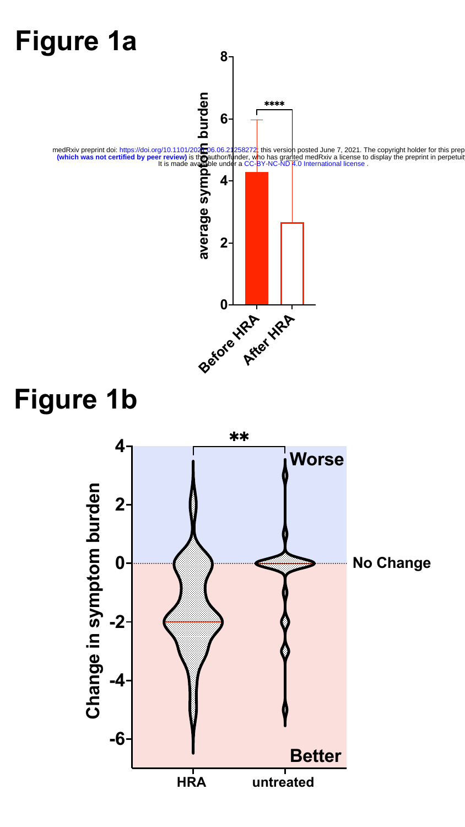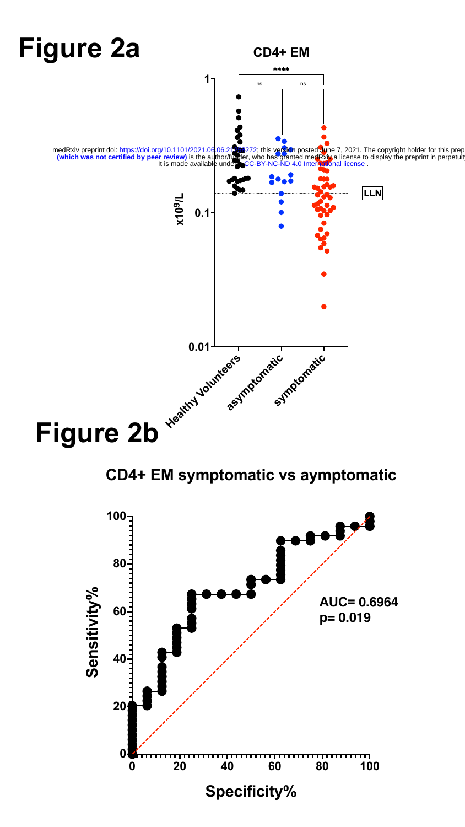

**CD4+ EM symptomatic vs aymptomatic**

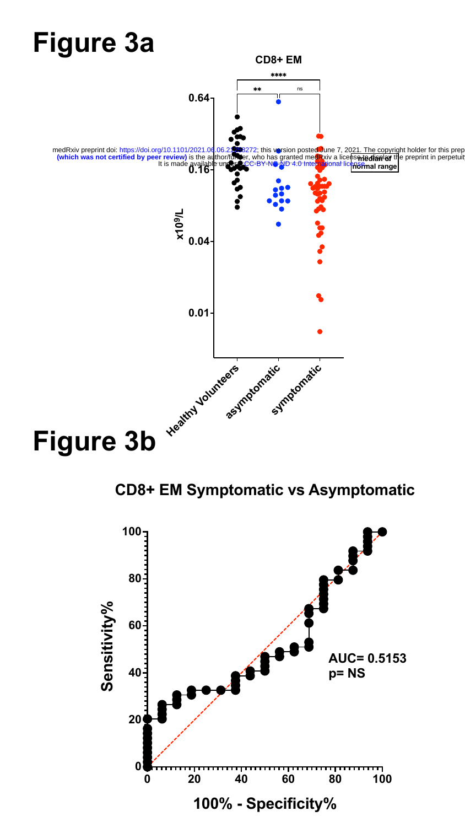

**CD8+ EM Symptomatic vs Asymptomatic**